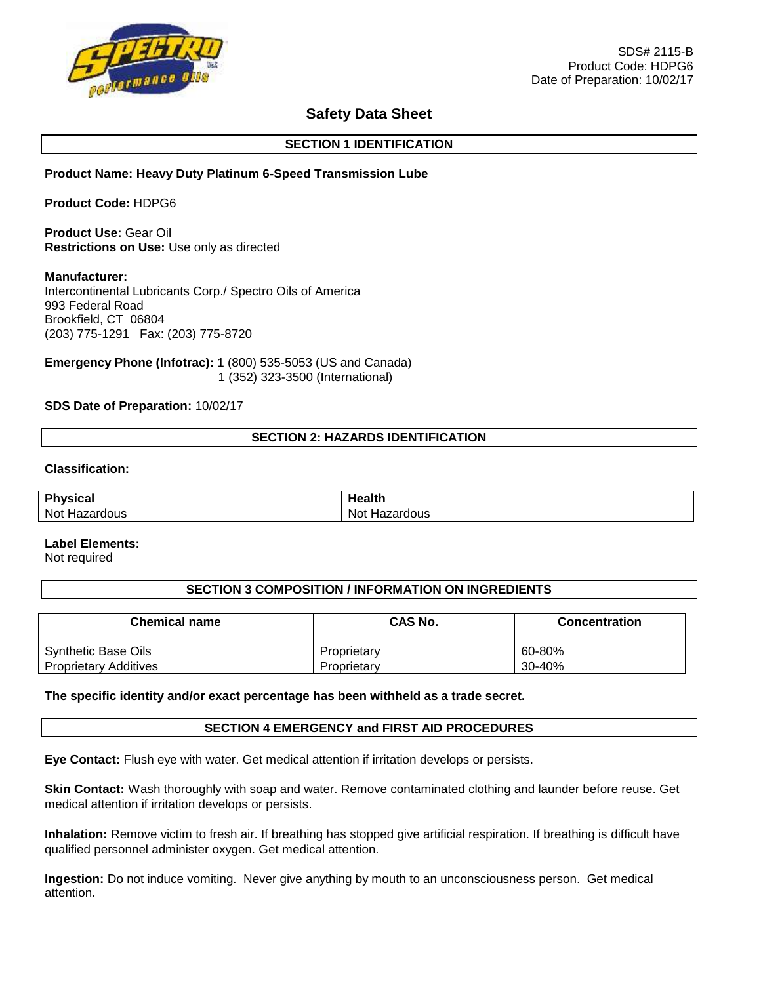

# **Safety Data Sheet**

### **SECTION 1 IDENTIFICATION**

### **Product Name: Heavy Duty Platinum 6-Speed Transmission Lube**

**Product Code:** HDPG6

**Product Use:** Gear Oil **Restrictions on Use:** Use only as directed

#### **Manufacturer:**

Intercontinental Lubricants Corp./ Spectro Oils of America 993 Federal Road Brookfield, CT 06804 (203) 775-1291 Fax: (203) 775-8720

**Emergency Phone (Infotrac):** 1 (800) 535-5053 (US and Canada) 1 (352) 323-3500 (International)

### **SDS Date of Preparation:** 10/02/17

### **SECTION 2: HAZARDS IDENTIFICATION**

#### **Classification:**

| ĐΨ<br>vsical                | lealth                           |
|-----------------------------|----------------------------------|
| Not<br>ardous'<br>uaz.<br>. | Not<br>rdous<br>Ha.<br>72 L<br>. |

#### **Label Elements:**

Not required

#### **SECTION 3 COMPOSITION / INFORMATION ON INGREDIENTS**

| <b>Chemical name</b>         | CAS No.     | <b>Concentration</b> |
|------------------------------|-------------|----------------------|
| Synthetic Base Oils          | Proprietary | 60-80%               |
| <b>Proprietary Additives</b> | Proprietary | 30-40%               |

#### **The specific identity and/or exact percentage has been withheld as a trade secret.**

#### **SECTION 4 EMERGENCY and FIRST AID PROCEDURES**

**Eye Contact:** Flush eye with water. Get medical attention if irritation develops or persists.

**Skin Contact:** Wash thoroughly with soap and water. Remove contaminated clothing and launder before reuse. Get medical attention if irritation develops or persists.

**Inhalation:** Remove victim to fresh air. If breathing has stopped give artificial respiration. If breathing is difficult have qualified personnel administer oxygen. Get medical attention.

**Ingestion:** Do not induce vomiting. Never give anything by mouth to an unconsciousness person. Get medical attention.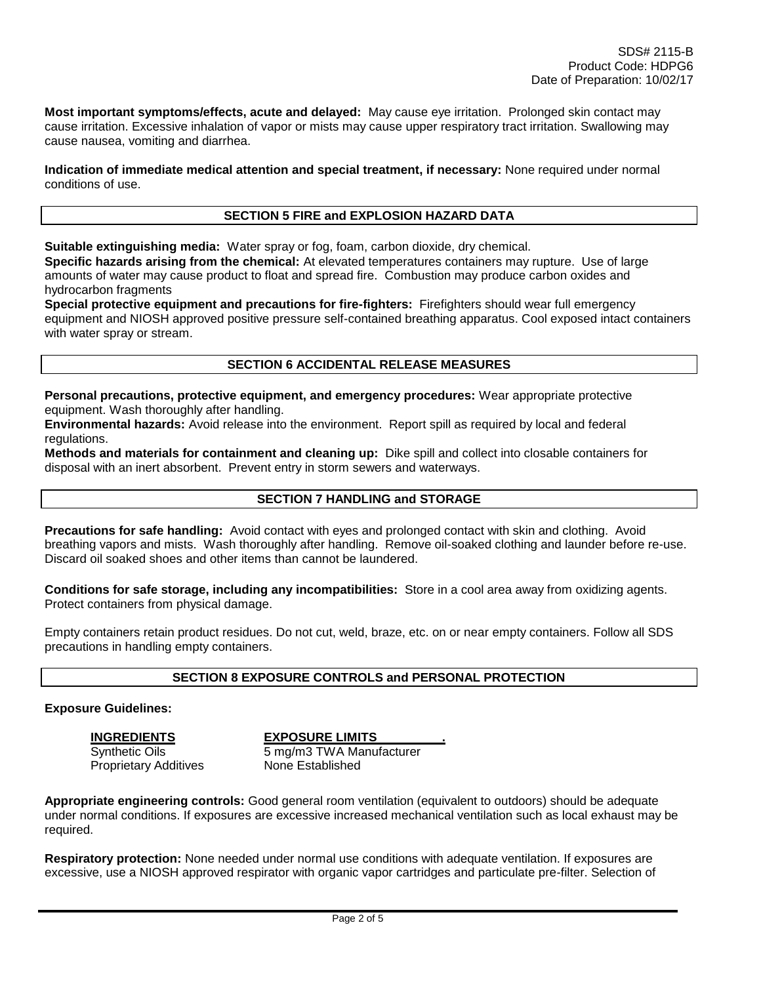**Most important symptoms/effects, acute and delayed:** May cause eye irritation. Prolonged skin contact may cause irritation. Excessive inhalation of vapor or mists may cause upper respiratory tract irritation. Swallowing may cause nausea, vomiting and diarrhea.

**Indication of immediate medical attention and special treatment, if necessary:** None required under normal conditions of use.

#### **SECTION 5 FIRE and EXPLOSION HAZARD DATA**

**Suitable extinguishing media:** Water spray or fog, foam, carbon dioxide, dry chemical.

**Specific hazards arising from the chemical:** At elevated temperatures containers may rupture. Use of large amounts of water may cause product to float and spread fire. Combustion may produce carbon oxides and hydrocarbon fragments

**Special protective equipment and precautions for fire-fighters:** Firefighters should wear full emergency equipment and NIOSH approved positive pressure self-contained breathing apparatus. Cool exposed intact containers with water spray or stream.

#### **SECTION 6 ACCIDENTAL RELEASE MEASURES**

**Personal precautions, protective equipment, and emergency procedures:** Wear appropriate protective equipment. Wash thoroughly after handling.

**Environmental hazards:** Avoid release into the environment. Report spill as required by local and federal regulations.

**Methods and materials for containment and cleaning up:** Dike spill and collect into closable containers for disposal with an inert absorbent. Prevent entry in storm sewers and waterways.

#### **SECTION 7 HANDLING and STORAGE**

**Precautions for safe handling:** Avoid contact with eyes and prolonged contact with skin and clothing. Avoid breathing vapors and mists. Wash thoroughly after handling. Remove oil-soaked clothing and launder before re-use. Discard oil soaked shoes and other items than cannot be laundered.

**Conditions for safe storage, including any incompatibilities:** Store in a cool area away from oxidizing agents. Protect containers from physical damage.

Empty containers retain product residues. Do not cut, weld, braze, etc. on or near empty containers. Follow all SDS precautions in handling empty containers.

### **SECTION 8 EXPOSURE CONTROLS and PERSONAL PROTECTION**

#### **Exposure Guidelines:**

**INGREDIENTS EXPOSURE LIMITS .**

Synthetic Oils 6 mg/m3 TWA Manufacturer Proprietary Additives None Established

**Appropriate engineering controls:** Good general room ventilation (equivalent to outdoors) should be adequate under normal conditions. If exposures are excessive increased mechanical ventilation such as local exhaust may be required.

**Respiratory protection:** None needed under normal use conditions with adequate ventilation. If exposures are excessive, use a NIOSH approved respirator with organic vapor cartridges and particulate pre-filter. Selection of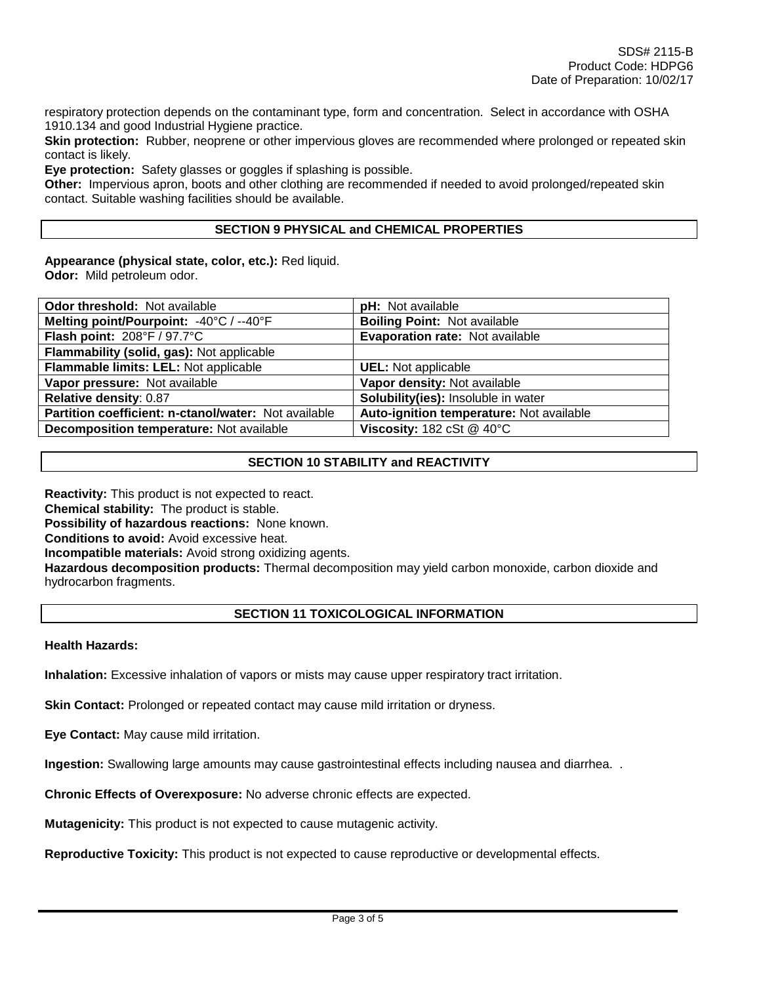respiratory protection depends on the contaminant type, form and concentration. Select in accordance with OSHA 1910.134 and good Industrial Hygiene practice.

**Skin protection:** Rubber, neoprene or other impervious gloves are recommended where prolonged or repeated skin contact is likely.

**Eye protection:** Safety glasses or goggles if splashing is possible.

**Other:** Impervious apron, boots and other clothing are recommended if needed to avoid prolonged/repeated skin contact. Suitable washing facilities should be available.

### **SECTION 9 PHYSICAL and CHEMICAL PROPERTIES**

**Appearance (physical state, color, etc.):** Red liquid. **Odor:** Mild petroleum odor.

| Odor threshold: Not available                        | pH: Not available                                      |
|------------------------------------------------------|--------------------------------------------------------|
| Melting point/Pourpoint: -40°C / --40°F              | <b>Boiling Point: Not available</b>                    |
| Flash point: 208°F / 97.7°C                          | <b>Evaporation rate: Not available</b>                 |
| Flammability (solid, gas): Not applicable            |                                                        |
| Flammable limits: LEL: Not applicable                | <b>UEL:</b> Not applicable                             |
| Vapor pressure: Not available                        | Vapor density: Not available                           |
| Relative density: 0.87                               | Solubility(ies): Insoluble in water                    |
| Partition coefficient: n-ctanol/water: Not available | Auto-ignition temperature: Not available               |
| Decomposition temperature: Not available             | Viscosity: $182 \text{ cSt} \ @ \ 40^{\circ} \text{C}$ |

# **SECTION 10 STABILITY and REACTIVITY**

**Reactivity:** This product is not expected to react. **Chemical stability:** The product is stable. **Possibility of hazardous reactions:** None known. **Conditions to avoid:** Avoid excessive heat. **Incompatible materials:** Avoid strong oxidizing agents. **Hazardous decomposition products:** Thermal decomposition may yield carbon monoxide, carbon dioxide and hydrocarbon fragments.

### **SECTION 11 TOXICOLOGICAL INFORMATION**

#### **Health Hazards:**

**Inhalation:** Excessive inhalation of vapors or mists may cause upper respiratory tract irritation.

**Skin Contact:** Prolonged or repeated contact may cause mild irritation or dryness.

**Eye Contact:** May cause mild irritation.

**Ingestion:** Swallowing large amounts may cause gastrointestinal effects including nausea and diarrhea. .

**Chronic Effects of Overexposure:** No adverse chronic effects are expected.

**Mutagenicity:** This product is not expected to cause mutagenic activity.

**Reproductive Toxicity:** This product is not expected to cause reproductive or developmental effects.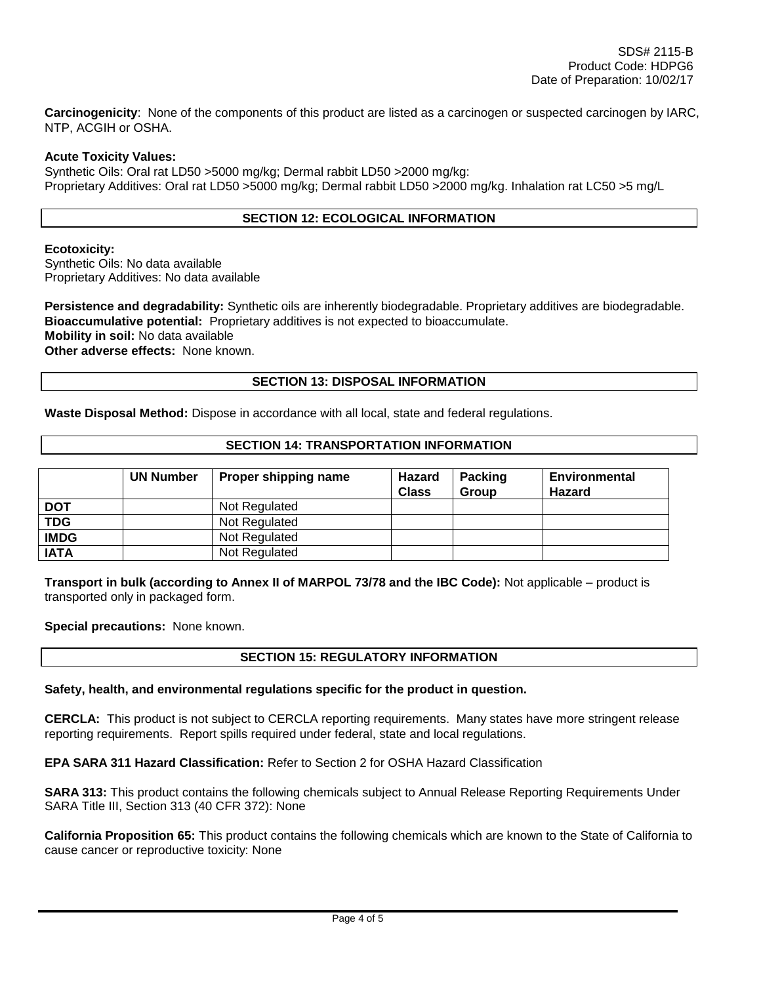**Carcinogenicity**: None of the components of this product are listed as a carcinogen or suspected carcinogen by IARC, NTP, ACGIH or OSHA.

### **Acute Toxicity Values:**

Synthetic Oils: Oral rat LD50 >5000 mg/kg; Dermal rabbit LD50 >2000 mg/kg: Proprietary Additives: Oral rat LD50 >5000 mg/kg; Dermal rabbit LD50 >2000 mg/kg. Inhalation rat LC50 >5 mg/L

# **SECTION 12: ECOLOGICAL INFORMATION**

### **Ecotoxicity:**

Synthetic Oils: No data available Proprietary Additives: No data available

**Persistence and degradability:** Synthetic oils are inherently biodegradable. Proprietary additives are biodegradable. **Bioaccumulative potential:** Proprietary additives is not expected to bioaccumulate. **Mobility in soil:** No data available **Other adverse effects:** None known.

## **SECTION 13: DISPOSAL INFORMATION**

**Waste Disposal Method:** Dispose in accordance with all local, state and federal regulations.

### **SECTION 14: TRANSPORTATION INFORMATION**

|             | <b>UN Number</b> | Proper shipping name | Hazard<br><b>Class</b> | <b>Packing</b><br>Group | <b>Environmental</b><br><b>Hazard</b> |
|-------------|------------------|----------------------|------------------------|-------------------------|---------------------------------------|
| <b>DOT</b>  |                  | Not Regulated        |                        |                         |                                       |
| <b>TDG</b>  |                  | Not Regulated        |                        |                         |                                       |
| <b>IMDG</b> |                  | Not Regulated        |                        |                         |                                       |
| <b>IATA</b> |                  | Not Regulated        |                        |                         |                                       |

**Transport in bulk (according to Annex II of MARPOL 73/78 and the IBC Code):** Not applicable – product is transported only in packaged form.

**Special precautions:** None known.

# **SECTION 15: REGULATORY INFORMATION**

#### **Safety, health, and environmental regulations specific for the product in question.**

**CERCLA:** This product is not subject to CERCLA reporting requirements. Many states have more stringent release reporting requirements. Report spills required under federal, state and local regulations.

**EPA SARA 311 Hazard Classification:** Refer to Section 2 for OSHA Hazard Classification

**SARA 313:** This product contains the following chemicals subject to Annual Release Reporting Requirements Under SARA Title III, Section 313 (40 CFR 372): None

**California Proposition 65:** This product contains the following chemicals which are known to the State of California to cause cancer or reproductive toxicity: None